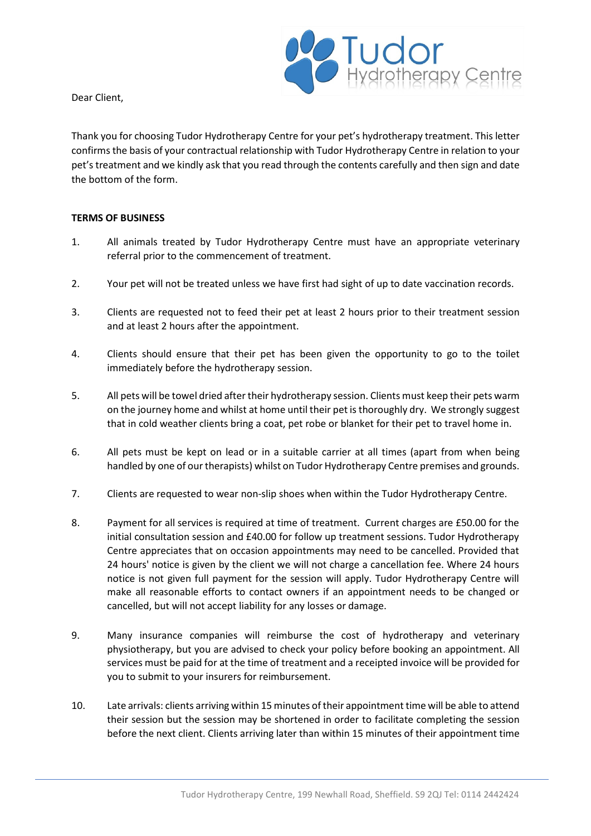

Dear Client,

Thank you for choosing Tudor Hydrotherapy Centre for your pet's hydrotherapy treatment. This letter confirms the basis of your contractual relationship with Tudor Hydrotherapy Centre in relation to your pet's treatment and we kindly ask that you read through the contents carefully and then sign and date the bottom of the form.

## **TERMS OF BUSINESS**

- 1. All animals treated by Tudor Hydrotherapy Centre must have an appropriate veterinary referral prior to the commencement of treatment.
- 2. Your pet will not be treated unless we have first had sight of up to date vaccination records.
- 3. Clients are requested not to feed their pet at least 2 hours prior to their treatment session and at least 2 hours after the appointment.
- 4. Clients should ensure that their pet has been given the opportunity to go to the toilet immediately before the hydrotherapy session.
- 5. All pets will be towel dried after their hydrotherapy session. Clients must keep their pets warm on the journey home and whilst at home until their pet is thoroughly dry. We strongly suggest that in cold weather clients bring a coat, pet robe or blanket for their pet to travel home in.
- 6. All pets must be kept on lead or in a suitable carrier at all times (apart from when being handled by one of our therapists) whilst on Tudor Hydrotherapy Centre premises and grounds.
- 7. Clients are requested to wear non-slip shoes when within the Tudor Hydrotherapy Centre.
- 8. Payment for all services is required at time of treatment. Current charges are £50.00 for the initial consultation session and £40.00 for follow up treatment sessions. Tudor Hydrotherapy Centre appreciates that on occasion appointments may need to be cancelled. Provided that 24 hours' notice is given by the client we will not charge a cancellation fee. Where 24 hours notice is not given full payment for the session will apply. Tudor Hydrotherapy Centre will make all reasonable efforts to contact owners if an appointment needs to be changed or cancelled, but will not accept liability for any losses or damage.
- 9. Many insurance companies will reimburse the cost of hydrotherapy and veterinary physiotherapy, but you are advised to check your policy before booking an appointment. All services must be paid for at the time of treatment and a receipted invoice will be provided for you to submit to your insurers for reimbursement.
- 10. Late arrivals: clients arriving within 15 minutes of their appointment time will be able to attend their session but the session may be shortened in order to facilitate completing the session before the next client. Clients arriving later than within 15 minutes of their appointment time